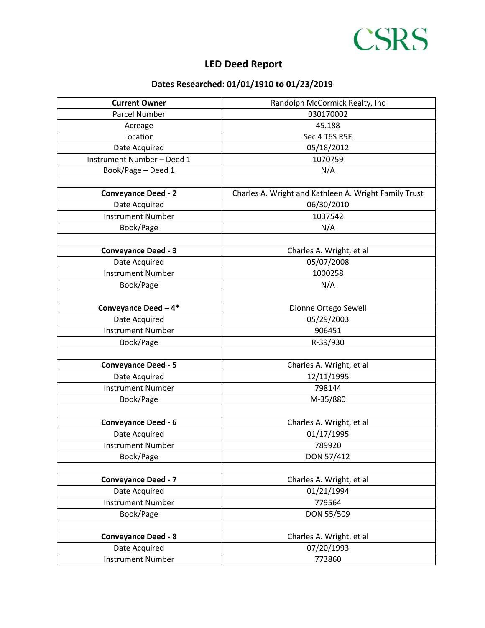## **LED Deed Report Port Barre Industrial Park - Central Site Property Deed Report**



**CSRS** 

| <b>Current Owner</b>       | Randolph McCormick Realty, Inc                        |
|----------------------------|-------------------------------------------------------|
| Parcel Number              | 030170002                                             |
| Acreage                    | 45.188                                                |
| Location                   | Sec 4 T6S R5E                                         |
| Date Acquired              | 05/18/2012                                            |
| Instrument Number-Deed 1   | 1070759                                               |
| Book/Page - Deed 1         | N/A                                                   |
|                            |                                                       |
| <b>Conveyance Deed - 2</b> | Charles A. Wright and Kathleen A. Wright Family Trust |
| Date Acquired              | 06/30/2010                                            |
| <b>Instrument Number</b>   | 1037542                                               |
| Book/Page                  | N/A                                                   |
|                            |                                                       |
| <b>Conveyance Deed - 3</b> | Charles A. Wright, et al                              |
| Date Acquired              | 05/07/2008                                            |
| <b>Instrument Number</b>   | 1000258                                               |
| Book/Page                  | N/A                                                   |
|                            |                                                       |
| Conveyance Deed - 4*       | Dionne Ortego Sewell                                  |
| Date Acquired              | 05/29/2003                                            |
| <b>Instrument Number</b>   | 906451                                                |
| Book/Page                  | R-39/930                                              |
|                            |                                                       |
| <b>Conveyance Deed - 5</b> | Charles A. Wright, et al                              |
| Date Acquired              | 12/11/1995                                            |
| <b>Instrument Number</b>   | 798144                                                |
| Book/Page                  | M-35/880                                              |
|                            |                                                       |
| <b>Conveyance Deed - 6</b> | Charles A. Wright, et al                              |
| Date Acquired              | 01/17/1995                                            |
| <b>Instrument Number</b>   | 789920                                                |
| Book/Page                  | DON 57/412                                            |
|                            |                                                       |
| <b>Conveyance Deed - 7</b> | Charles A. Wright, et al                              |
| Date Acquired              | 01/21/1994                                            |
| <b>Instrument Number</b>   | 779564                                                |
| Book/Page                  | DON 55/509                                            |
|                            |                                                       |
| <b>Conveyance Deed - 8</b> | Charles A. Wright, et al                              |
| Date Acquired              | 07/20/1993                                            |
| <b>Instrument Number</b>   | 773860                                                |